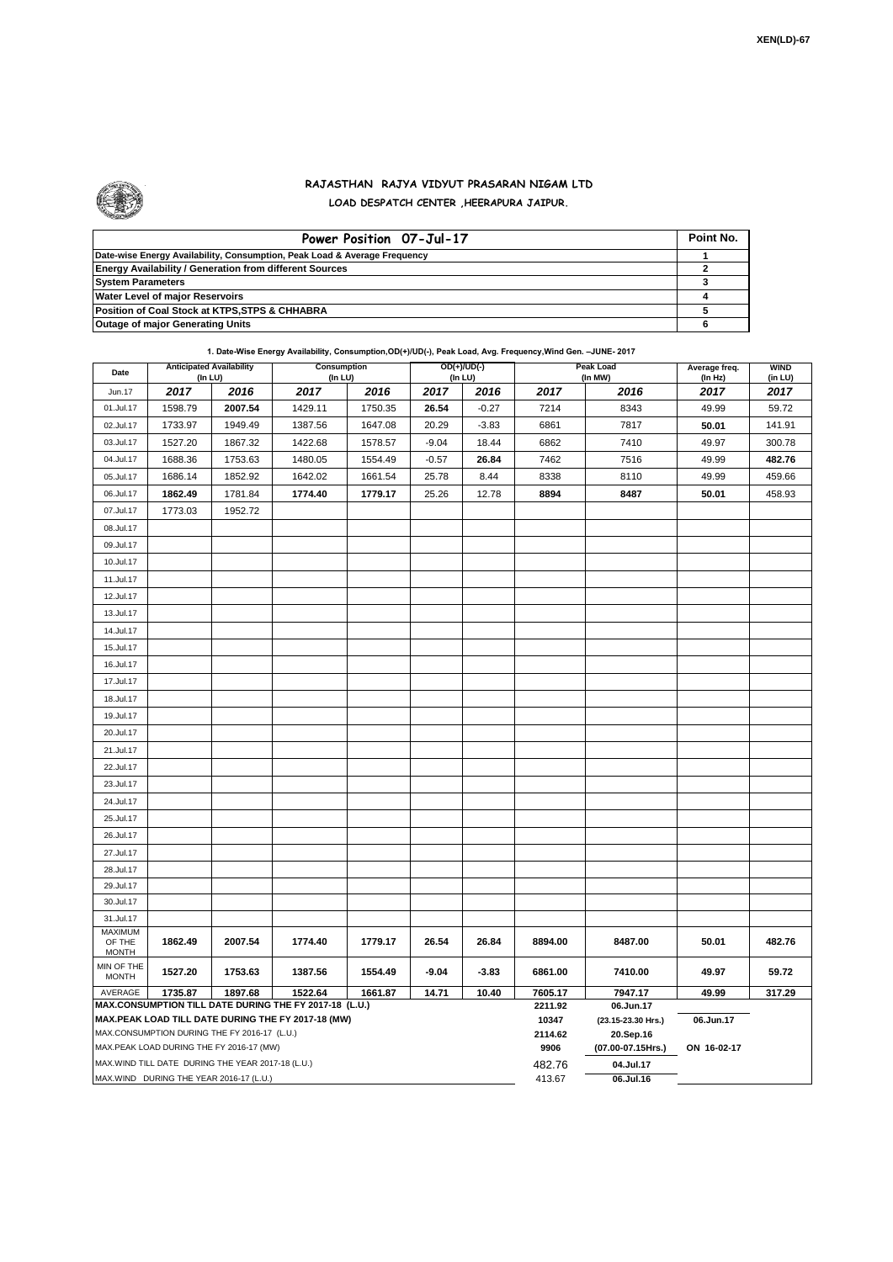

## **RAJASTHAN RAJYA VIDYUT PRASARAN NIGAM LTD LOAD DESPATCH CENTER ,HEERAPURA JAIPUR.**

| Power Position 07-Jul-17                                                  | Point No. |
|---------------------------------------------------------------------------|-----------|
| Date-wise Energy Availability, Consumption, Peak Load & Average Frequency |           |
| <b>Energy Availability / Generation from different Sources</b>            |           |
| <b>System Parameters</b>                                                  |           |
| <b>Water Level of major Reservoirs</b>                                    |           |
| Position of Coal Stock at KTPS, STPS & CHHABRA                            |           |
| <b>Outage of major Generating Units</b>                                   |           |

**1. Date-Wise Energy Availability, Consumption,OD(+)/UD(-), Peak Load, Avg. Frequency,Wind Gen. –JUNE- 2017**

| Date                                                                                                         | <b>Anticipated Availability</b><br>(In LU) |                                                    | Consumption<br>(In LU) |         | OD(+)/UD(-)<br>(In LU) |         |                  | <b>Peak Load</b><br>(In MW)     | Average freq.<br>(In Hz) | <b>WIND</b><br>(in LU) |  |  |
|--------------------------------------------------------------------------------------------------------------|--------------------------------------------|----------------------------------------------------|------------------------|---------|------------------------|---------|------------------|---------------------------------|--------------------------|------------------------|--|--|
| Jun.17                                                                                                       | 2017                                       | 2016                                               | 2017                   | 2016    | 2017                   | 2016    | 2017             | 2016                            | 2017                     | 2017                   |  |  |
| 01.Jul.17                                                                                                    | 1598.79                                    | 2007.54                                            | 1429.11                | 1750.35 | 26.54                  | $-0.27$ | 7214             | 8343                            | 49.99                    | 59.72                  |  |  |
| 02.Jul.17                                                                                                    | 1733.97                                    | 1949.49                                            | 1387.56                | 1647.08 | 20.29                  | $-3.83$ | 6861             | 7817                            | 50.01                    | 141.91                 |  |  |
| 03.Jul.17                                                                                                    | 1527.20                                    | 1867.32                                            | 1422.68                | 1578.57 | $-9.04$                | 18.44   | 6862             | 7410                            | 49.97                    | 300.78                 |  |  |
| 04.Jul.17                                                                                                    | 1688.36                                    | 1753.63                                            | 1480.05                | 1554.49 | $-0.57$                | 26.84   | 7462             | 7516                            | 49.99                    | 482.76                 |  |  |
| 05.Jul.17                                                                                                    | 1686.14                                    | 1852.92                                            | 1642.02                | 1661.54 | 25.78                  | 8.44    | 8338             | 8110                            | 49.99                    | 459.66                 |  |  |
| 06.Jul.17                                                                                                    | 1862.49                                    | 1781.84                                            | 1774.40                | 1779.17 | 25.26                  | 12.78   | 8894             | 8487                            | 50.01                    | 458.93                 |  |  |
| 07.Jul.17                                                                                                    | 1773.03                                    | 1952.72                                            |                        |         |                        |         |                  |                                 |                          |                        |  |  |
| 08.Jul.17                                                                                                    |                                            |                                                    |                        |         |                        |         |                  |                                 |                          |                        |  |  |
| 09.Jul.17                                                                                                    |                                            |                                                    |                        |         |                        |         |                  |                                 |                          |                        |  |  |
| 10.Jul.17                                                                                                    |                                            |                                                    |                        |         |                        |         |                  |                                 |                          |                        |  |  |
| 11.Jul.17                                                                                                    |                                            |                                                    |                        |         |                        |         |                  |                                 |                          |                        |  |  |
| 12.Jul.17                                                                                                    |                                            |                                                    |                        |         |                        |         |                  |                                 |                          |                        |  |  |
| 13.Jul.17                                                                                                    |                                            |                                                    |                        |         |                        |         |                  |                                 |                          |                        |  |  |
| 14.Jul.17                                                                                                    |                                            |                                                    |                        |         |                        |         |                  |                                 |                          |                        |  |  |
| 15.Jul.17                                                                                                    |                                            |                                                    |                        |         |                        |         |                  |                                 |                          |                        |  |  |
| 16.Jul.17                                                                                                    |                                            |                                                    |                        |         |                        |         |                  |                                 |                          |                        |  |  |
| 17.Jul.17                                                                                                    |                                            |                                                    |                        |         |                        |         |                  |                                 |                          |                        |  |  |
| 18.Jul.17                                                                                                    |                                            |                                                    |                        |         |                        |         |                  |                                 |                          |                        |  |  |
| 19.Jul.17                                                                                                    |                                            |                                                    |                        |         |                        |         |                  |                                 |                          |                        |  |  |
| 20.Jul.17                                                                                                    |                                            |                                                    |                        |         |                        |         |                  |                                 |                          |                        |  |  |
| 21.Jul.17                                                                                                    |                                            |                                                    |                        |         |                        |         |                  |                                 |                          |                        |  |  |
| 22.Jul.17                                                                                                    |                                            |                                                    |                        |         |                        |         |                  |                                 |                          |                        |  |  |
| 23.Jul.17                                                                                                    |                                            |                                                    |                        |         |                        |         |                  |                                 |                          |                        |  |  |
| 24.Jul.17                                                                                                    |                                            |                                                    |                        |         |                        |         |                  |                                 |                          |                        |  |  |
| 25.Jul.17                                                                                                    |                                            |                                                    |                        |         |                        |         |                  |                                 |                          |                        |  |  |
| 26.Jul.17                                                                                                    |                                            |                                                    |                        |         |                        |         |                  |                                 |                          |                        |  |  |
| 27.Jul.17                                                                                                    |                                            |                                                    |                        |         |                        |         |                  |                                 |                          |                        |  |  |
| 28.Jul.17                                                                                                    |                                            |                                                    |                        |         |                        |         |                  |                                 |                          |                        |  |  |
| 29.Jul.17                                                                                                    |                                            |                                                    |                        |         |                        |         |                  |                                 |                          |                        |  |  |
| 30.Jul.17                                                                                                    |                                            |                                                    |                        |         |                        |         |                  |                                 |                          |                        |  |  |
| 31.Jul.17                                                                                                    |                                            |                                                    |                        |         |                        |         |                  |                                 |                          |                        |  |  |
| MAXIMUM<br>OF THE<br><b>MONTH</b>                                                                            | 1862.49                                    | 2007.54                                            | 1774.40                | 1779.17 | 26.54                  | 26.84   | 8894.00          | 8487.00                         | 50.01                    | 482.76                 |  |  |
| MIN OF THE<br><b>MONTH</b>                                                                                   | 1527.20                                    | 1753.63                                            | 1387.56                | 1554.49 | $-9.04$                | $-3.83$ | 6861.00          | 7410.00                         | 49.97                    | 59.72                  |  |  |
| 1735.87<br>1897.68<br>1522.64<br>1661.87<br>14.71<br>10.40<br>AVERAGE                                        |                                            |                                                    |                        |         |                        |         | 7605.17          | 7947.17                         | 49.99                    | 317.29                 |  |  |
| MAX.CONSUMPTION TILL DATE DURING THE FY 2017-18 (L.U.)<br>MAX.PEAK LOAD TILL DATE DURING THE FY 2017-18 (MW) |                                            |                                                    |                        |         |                        |         | 2211.92<br>10347 | 06.Jun.17<br>(23.15-23.30 Hrs.) |                          |                        |  |  |
| MAX.CONSUMPTION DURING THE FY 2016-17 (L.U.)                                                                 |                                            |                                                    |                        |         |                        |         | 2114.62          | 20.Sep.16                       | 06.Jun.17                |                        |  |  |
|                                                                                                              |                                            | MAX.PEAK LOAD DURING THE FY 2016-17 (MW)           |                        |         |                        |         | 9906             | (07.00-07.15Hrs.)               | ON 16-02-17              |                        |  |  |
|                                                                                                              |                                            | MAX. WIND TILL DATE DURING THE YEAR 2017-18 (L.U.) |                        |         |                        |         | 482.76           | 04.Jul.17                       |                          |                        |  |  |
| MAX.WIND DURING THE YEAR 2016-17 (L.U.)                                                                      |                                            |                                                    |                        |         |                        |         | 413.67           | 06.Jul.16                       |                          |                        |  |  |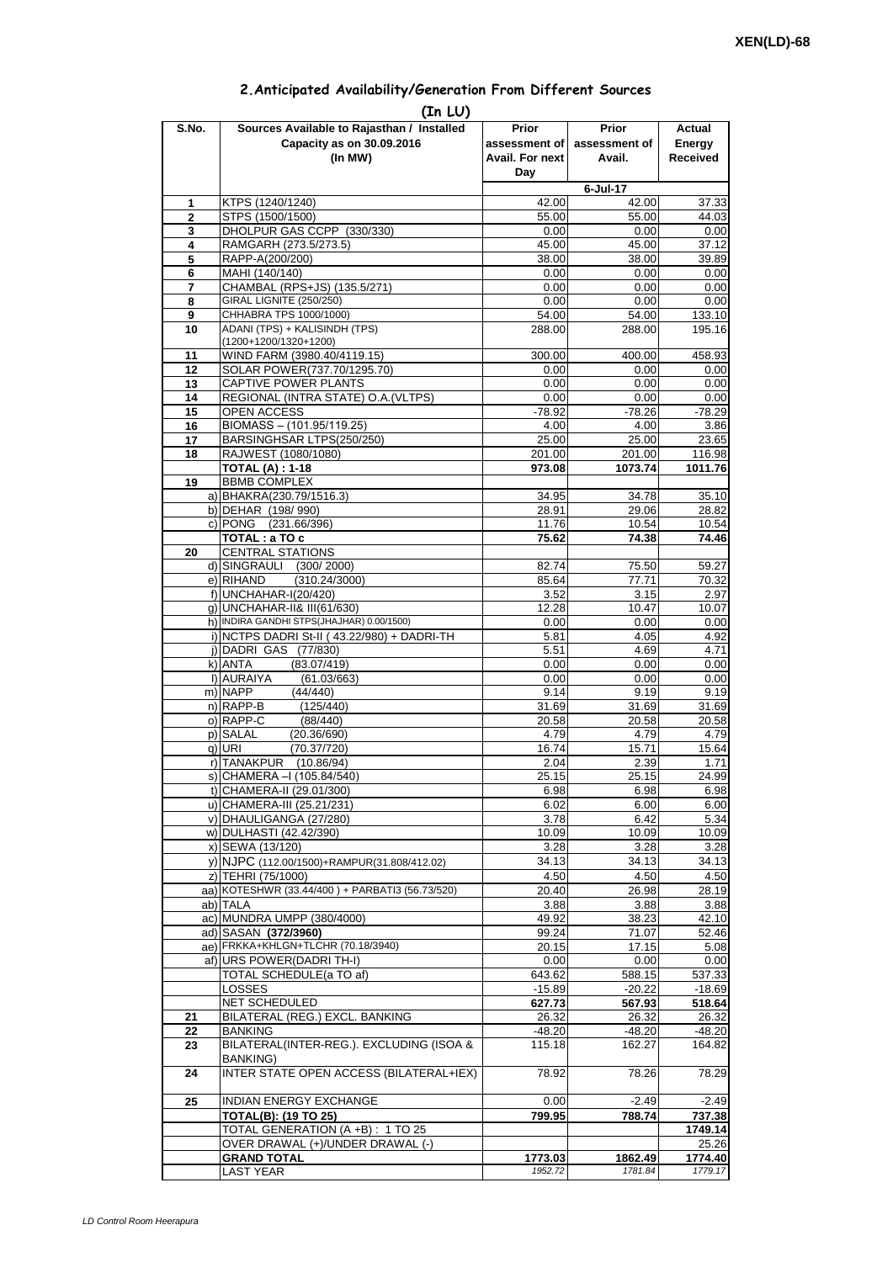| 2. Anticipated Availability/Generation From Different Sources |  |  |  |
|---------------------------------------------------------------|--|--|--|
|                                                               |  |  |  |

| S.No.        | Sources Available to Rajasthan / Installed<br>Capacity as on 30.09.2016<br>(In MW)                     | Prior<br>assessment of I<br>Avail. For next<br>Day | Prior<br>assessment of<br>Avail. | Actual<br>Energy<br><b>Received</b> |
|--------------|--------------------------------------------------------------------------------------------------------|----------------------------------------------------|----------------------------------|-------------------------------------|
|              |                                                                                                        |                                                    | 6-Jul-17                         |                                     |
| 1            | KTPS (1240/1240)                                                                                       | 42.00                                              | 42.00                            | 37.33                               |
| $\mathbf{2}$ | STPS (1500/1500)                                                                                       | 55.00                                              | 55.00                            | 44.03                               |
| 3            | DHOLPUR GAS CCPP (330/330)                                                                             | 0.00                                               | 0.00                             | 0.00                                |
| 4            | RAMGARH (273.5/273.5)                                                                                  | 45.00                                              | 45.00                            | 37.12                               |
| 5            | RAPP-A(200/200)                                                                                        | 38.00                                              | 38.00                            | 39.89                               |
| 6            | MAHI (140/140)                                                                                         | 0.00                                               | 0.00                             | 0.00                                |
| 7            | CHAMBAL (RPS+JS) (135.5/271)                                                                           | 0.00                                               | 0.00                             | 0.00                                |
| 8            | <b>GIRAL LIGNITE (250/250)</b><br>CHHABRA TPS 1000/1000)                                               | 0.00                                               | 0.00                             | 0.00                                |
| 9<br>10      | ADANI (TPS) + KALISINDH (TPS)                                                                          | 54.00<br>288.00                                    | 54.00<br>288.00                  | 133.10<br>195.16                    |
|              | (1200+1200/1320+1200)                                                                                  |                                                    |                                  |                                     |
| 11           | WIND FARM (3980.40/4119.15)                                                                            | 300.00                                             | 400.00                           | 458.93                              |
| 12           | SOLAR POWER(737.70/1295.70)                                                                            | 0.00                                               | 0.00                             | 0.00                                |
| 13           | CAPTIVE POWER PLANTS                                                                                   | 0.00                                               | 0.00                             | 0.00                                |
| 14           | REGIONAL (INTRA STATE) O.A. (VLTPS)                                                                    | 0.00                                               | 0.00                             | 0.00                                |
| 15           | OPEN ACCESS                                                                                            | $-78.92$                                           | $-78.26$                         | $-78.29$                            |
| 16           | BIOMASS - (101.95/119.25)                                                                              | 4.00                                               | 4.00                             | 3.86                                |
| 17           | BARSINGHSAR LTPS(250/250)                                                                              | 25.00                                              | 25.00                            | 23.65                               |
| 18           | RAJWEST (1080/1080)<br><b>TOTAL (A): 1-18</b>                                                          | 201.00<br>973.08                                   | 201.00<br>1073.74                | 116.98<br>1011.76                   |
| 19           | <b>BBMB COMPLEX</b>                                                                                    |                                                    |                                  |                                     |
|              | a) BHAKRA(230.79/1516.3)                                                                               | 34.95                                              | 34.78                            | 35.10                               |
|              | b) DEHAR (198/990)                                                                                     | 28.91                                              | 29.06                            | 28.82                               |
|              | c) PONG (231.66/396)                                                                                   | 11.76                                              | 10.54                            | 10.54                               |
|              | TOTAL: a TO c                                                                                          | 75.62                                              | 74.38                            | 74.46                               |
| 20           | <b>CENTRAL STATIONS</b>                                                                                |                                                    |                                  |                                     |
|              | d) SINGRAULI<br>(300/2000)                                                                             | 82.74                                              | 75.50                            | 59.27                               |
|              | e) RIHAND<br>(310.24/3000)                                                                             | 85.64                                              | 77.71                            | 70.32                               |
|              | f) UNCHAHAR-I(20/420)                                                                                  | 3.52                                               | 3.15                             | 2.97                                |
|              | q) UNCHAHAR-II& III(61/630)<br>h) INDIRA GANDHI STPS(JHAJHAR) 0.00/1500)                               | 12.28                                              | 10.47                            | 10.07                               |
|              | i) NCTPS DADRI St-II (43.22/980) + DADRI-TH                                                            | 0.00<br>5.81                                       | 0.00<br>4.05                     | 0.00<br>4.92                        |
|              | j) DADRI GAS (77/830)                                                                                  | 5.51                                               | 4.69                             | 4.71                                |
|              | k) ANTA<br>(83.07/419)                                                                                 | 0.00                                               | 0.00                             | 0.00                                |
|              | I) AURAIYA<br>(61.03/663)                                                                              | 0.00                                               | 0.00                             | 0.00                                |
|              | m) NAPP<br>(44/440)                                                                                    | 9.14                                               | 9.19                             | 9.19                                |
|              | $n)$ RAPP-B<br>(125/440)                                                                               | 31.69                                              | 31.69                            | 31.69                               |
|              | o) RAPP-C<br>(88/440)                                                                                  | 20.58                                              | 20.58                            | 20.58                               |
|              | p) SALAL<br>(20.36/690)                                                                                | 4.79                                               | 4.79                             | 4.79                                |
|              | $q)$ URI<br>(70.37/720)<br>r) TANAKPUR                                                                 | 16.74<br>2.04                                      | 15.71                            | 15.64<br>1.71                       |
|              | (10.86/94)<br>s) CHAMERA - (105.84/540)                                                                | 25.15                                              | 2.39<br>25.15                    | 24.99                               |
|              | t) CHAMERA-II (29.01/300)                                                                              | 6.98                                               | 6.98                             | 6.98                                |
|              | u) CHAMERA-III (25.21/231)                                                                             | 6.02                                               | 6.00                             | 6.00                                |
|              | v) DHAULIGANGA (27/280)                                                                                | 3.78                                               | 6.42                             | 5.34                                |
|              | w) DULHASTI (42.42/390)                                                                                | 10.09                                              | 10.09                            | 10.09                               |
|              | x) SEWA (13/120)                                                                                       | 3.28                                               | 3.28                             | 3.28                                |
|              | y) NJPC (112.00/1500)+RAMPUR(31.808/412.02)                                                            | 34.13                                              | 34.13                            | 34.13                               |
|              | z) TEHRI (75/1000)                                                                                     | 4.50                                               | 4.50                             | 4.50                                |
|              | aa) KOTESHWR (33.44/400) + PARBATI3 (56.73/520)                                                        | 20.40                                              | 26.98                            | 28.19                               |
|              | ab) TALA                                                                                               | 3.88                                               | 3.88                             | 3.88                                |
|              | ac) MUNDRA UMPP (380/4000)<br>ad) SASAN (372/3960)                                                     | 49.92<br>99.24                                     | 38.23<br>71.07                   | 42.10<br>52.46                      |
|              | ae) FRKKA+KHLGN+TLCHR (70.18/3940)                                                                     | 20.15                                              | 17.15                            | 5.08                                |
|              | af) URS POWER(DADRI TH-I)                                                                              | 0.00                                               | 0.00                             | 0.00                                |
|              | TOTAL SCHEDULE(a TO af)                                                                                | 643.62                                             | 588.15                           | 537.33                              |
|              | LOSSES                                                                                                 | $-15.89$                                           | $-20.22$                         | $-18.69$                            |
|              | NET SCHEDULED                                                                                          | 627.73                                             | 567.93                           | 518.64                              |
| 21           | BILATERAL (REG.) EXCL. BANKING                                                                         | 26.32                                              | 26.32                            | 26.32                               |
| 22           | <b>BANKING</b>                                                                                         | $-48.20$                                           | $-48.20$                         | $-48.20$                            |
| 23           | BILATERAL(INTER-REG.). EXCLUDING (ISOA &<br><b>BANKING)</b><br>INTER STATE OPEN ACCESS (BILATERAL+IEX) | 115.18<br>78.92                                    | 162.27                           | 164.82<br>78.29                     |
| 24<br>25     | INDIAN ENERGY EXCHANGE                                                                                 | 0.00                                               | 78.26<br>$-2.49$                 | $-2.49$                             |
|              | <b>TOTAL(B): (19 TO 25)</b>                                                                            | 799.95                                             | 788.74                           | 737.38                              |
|              | TOTAL GENERATION (A +B) : 1 TO 25                                                                      |                                                    |                                  | 1749.14                             |
|              | OVER DRAWAL (+)/UNDER DRAWAL (-)                                                                       |                                                    |                                  | 25.26                               |
|              | <b>GRAND TOTAL</b>                                                                                     | 1773.03                                            | 1862.49                          | 1774.40                             |
|              | <b>LAST YEAR</b>                                                                                       | 1952.72                                            | 1781.84                          | 1779.17                             |